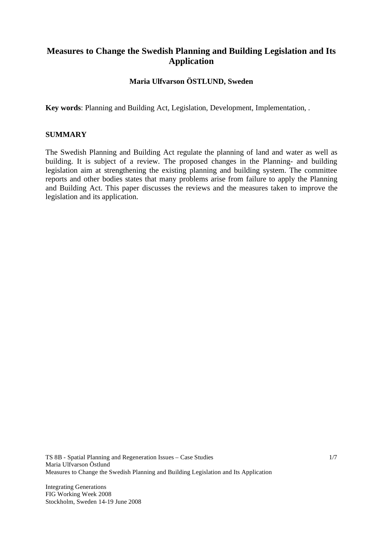# **Measures to Change the Swedish Planning and Building Legislation and Its Application**

# **Maria Ulfvarson ÖSTLUND, Sweden**

**Key words**: Planning and Building Act, Legislation, Development, Implementation, .

#### **SUMMARY**

The Swedish Planning and Building Act regulate the planning of land and water as well as building. It is subject of a review. The proposed changes in the Planning- and building legislation aim at strengthening the existing planning and building system. The committee reports and other bodies states that many problems arise from failure to apply the Planning and Building Act. This paper discusses the reviews and the measures taken to improve the legislation and its application.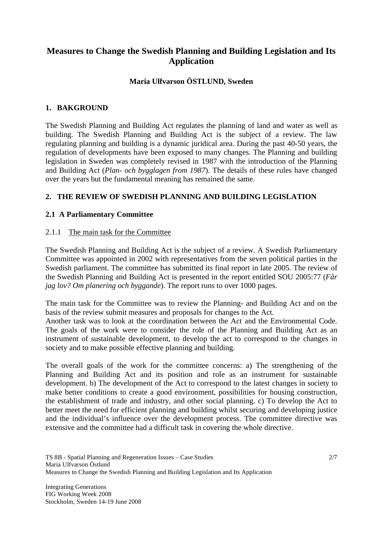# **Measures to Change the Swedish Planning and Building Legislation and Its Application**

# **Maria Ulfvarson ÖSTLUND, Sweden**

## **1. BAKGROUND**

The Swedish Planning and Building Act regulates the planning of land and water as well as building. The Swedish Planning and Building Act is the subject of a review. The law regulating planning and building is a dynamic juridical area. During the past 40-50 years, the regulation of developments have been exposed to many changes. The Planning and building legislation in Sweden was completely revised in 1987 with the introduction of the Planning and Building Act (*Plan- och bygglagen from 1987*). The details of these rules have changed over the years but the fundamental meaning has remained the same.

#### **2. THE REVIEW OF SWEDISH PLANNING AND BUILDING LEGISLATION**

#### **2.1 A Parliamentary Committee**

#### 2.1.1 The main task for the Committee

The Swedish Planning and Building Act is the subject of a review. A Swedish Parliamentary Committee was appointed in 2002 with representatives from the seven political parties in the Swedish parliament. The committee has submitted its final report in late 2005. The review of the Swedish Planning and Building Act is presented in the report entitled SOU 2005:77 (*Får jag lov? Om planering och byggande*). The report runs to over 1000 pages.

The main task for the Committee was to review the Planning- and Building Act and on the basis of the review submit measures and proposals for changes to the Act.

Another task was to look at the coordination between the Act and the Environmental Code. The goals of the work were to consider the role of the Planning and Building Act as an instrument of sustainable development, to develop the act to correspond to the changes in society and to make possible effective planning and building.

The overall goals of the work for the committee concerns: a) The strengthening of the Planning and Building Act and its position and role as an instrument for sustainable development. b) The development of the Act to correspond to the latest changes in society to make better conditions to create a good environment, possibilities for housing construction, the establishment of trade and industry, and other social planning. c) To develop the Act to better meet the need for efficient planning and building whilst securing and developing justice and the individual's influence over the development process. The committee directive was extensive and the committee had a difficult task in covering the whole directive.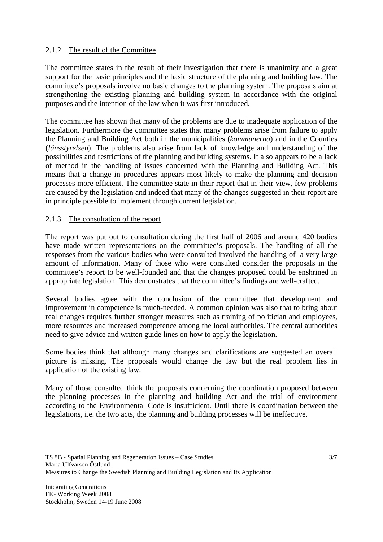## 2.1.2 The result of the Committee

The committee states in the result of their investigation that there is unanimity and a great support for the basic principles and the basic structure of the planning and building law. The committee's proposals involve no basic changes to the planning system. The proposals aim at strengthening the existing planning and building system in accordance with the original purposes and the intention of the law when it was first introduced.

The committee has shown that many of the problems are due to inadequate application of the legislation. Furthermore the committee states that many problems arise from failure to apply the Planning and Building Act both in the municipalities (*kommunerna*) and in the Counties (*länsstyrelsen*). The problems also arise from lack of knowledge and understanding of the possibilities and restrictions of the planning and building systems. It also appears to be a lack of method in the handling of issues concerned with the Planning and Building Act. This means that a change in procedures appears most likely to make the planning and decision processes more efficient. The committee state in their report that in their view, few problems are caused by the legislation and indeed that many of the changes suggested in their report are in principle possible to implement through current legislation.

## 2.1.3 The consultation of the report

The report was put out to consultation during the first half of 2006 and around 420 bodies have made written representations on the committee's proposals. The handling of all the responses from the various bodies who were consulted involved the handling of a very large amount of information. Many of those who were consulted consider the proposals in the committee's report to be well-founded and that the changes proposed could be enshrined in appropriate legislation. This demonstrates that the committee's findings are well-crafted.

Several bodies agree with the conclusion of the committee that development and improvement in competence is much-needed. A common opinion was also that to bring about real changes requires further stronger measures such as training of politician and employees, more resources and increased competence among the local authorities. The central authorities need to give advice and written guide lines on how to apply the legislation.

Some bodies think that although many changes and clarifications are suggested an overall picture is missing. The proposals would change the law but the real problem lies in application of the existing law.

Many of those consulted think the proposals concerning the coordination proposed between the planning processes in the planning and building Act and the trial of environment according to the Environmental Code is insufficient. Until there is coordination between the legislations, i.e. the two acts, the planning and building processes will be ineffective.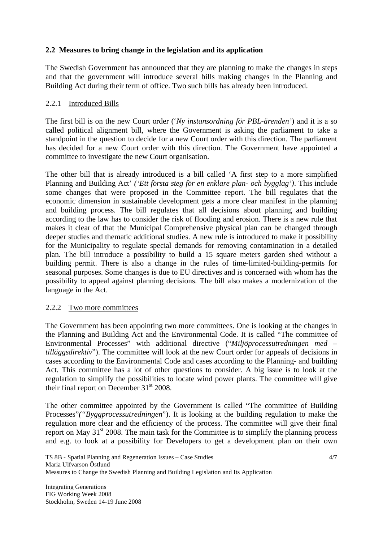# **2.2 Measures to bring change in the legislation and its application**

The Swedish Government has announced that they are planning to make the changes in steps and that the government will introduce several bills making changes in the Planning and Building Act during their term of office. Two such bills has already been introduced.

## 2.2.1 Introduced Bills

The first bill is on the new Court order ('*Ny instansordning för PBL-ärenden'*) and it is a so called political alignment bill, where the Government is asking the parliament to take a standpoint in the question to decide for a new Court order with this direction. The parliament has decided for a new Court order with this direction. The Government have appointed a committee to investigate the new Court organisation.

The other bill that is already introduced is a bill called 'A first step to a more simplified Planning and Building Act' *('Ett första steg för en enklare plan- och bygglag')*. This include some changes that were proposed in the Committee report. The bill regulates that the economic dimension in sustainable development gets a more clear manifest in the planning and building process. The bill regulates that all decisions about planning and building according to the law has to consider the risk of flooding and erosion. There is a new rule that makes it clear of that the Municipal Comprehensive physical plan can be changed through deeper studies and thematic additional studies. A new rule is introduced to make it possibility for the Municipality to regulate special demands for removing contamination in a detailed plan. The bill introduce a possibility to build a 15 square meters garden shed without a building permit. There is also a change in the rules of time-limited-building-permits for seasonal purposes. Some changes is due to EU directives and is concerned with whom has the possibility to appeal against planning decisions. The bill also makes a modernization of the language in the Act.

#### 2.2.2 Two more committees

The Government has been appointing two more committees. One is looking at the changes in the Planning and Building Act and the Environmental Code. It is called "The committee of Environmental Processes" with additional directive ("*Miljöprocessutredningen med – tilläggsdirektiv*"). The committee will look at the new Court order for appeals of decisions in cases according to the Environmental Code and cases according to the Planning- and building Act. This committee has a lot of other questions to consider. A big issue is to look at the regulation to simplify the possibilities to locate wind power plants. The committee will give their final report on December  $31<sup>st</sup>$  2008.

The other committee appointed by the Government is called "The committee of Building Processes"*("Byggprocessutredningen*"). It is looking at the building regulation to make the regulation more clear and the efficiency of the process. The committee will give their final report on May  $31<sup>st</sup>$  2008. The main task for the Committee is to simplify the planning process and e.g. to look at a possibility for Developers to get a development plan on their own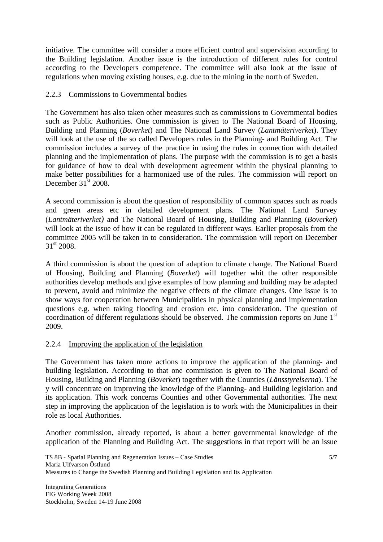initiative. The committee will consider a more efficient control and supervision according to the Building legislation. Another issue is the introduction of different rules for control according to the Developers competence. The committee will also look at the issue of regulations when moving existing houses, e.g. due to the mining in the north of Sweden.

## 2.2.3 Commissions to Governmental bodies

The Government has also taken other measures such as commissions to Governmental bodies such as Public Authorities. One commission is given to The National Board of Housing, Building and Planning (*Boverket*) and The National Land Survey (*Lantmäteriverket*). They will look at the use of the so called Developers rules in the Planning- and Building Act. The commission includes a survey of the practice in using the rules in connection with detailed planning and the implementation of plans. The purpose with the commission is to get a basis for guidance of how to deal with development agreement within the physical planning to make better possibilities for a harmonized use of the rules. The commission will report on December  $31^{\text{st}}$  2008.

A second commission is about the question of responsibility of common spaces such as roads and green areas etc in detailed development plans. The National Land Survey (*Lantmäteriverket)* and The National Board of Housing, Building and Planning (*Boverket*) will look at the issue of how it can be regulated in different ways. Earlier proposals from the committee 2005 will be taken in to consideration. The commission will report on December 31st 2008.

A third commission is about the question of adaption to climate change. The National Board of Housing, Building and Planning (*Boverket*) will together whit the other responsible authorities develop methods and give examples of how planning and building may be adapted to prevent, avoid and minimize the negative effects of the climate changes. One issue is to show ways for cooperation between Municipalities in physical planning and implementation questions e.g. when taking flooding and erosion etc. into consideration. The question of coordination of different regulations should be observed. The commission reports on June  $1<sup>st</sup>$ 2009.

# 2.2.4 Improving the application of the legislation

The Government has taken more actions to improve the application of the planning- and building legislation. According to that one commission is given to The National Board of Housing, Building and Planning (*Boverket*) together with the Counties (*Länsstyrelserna*). The y will concentrate on improving the knowledge of the Planning- and Building legislation and its application. This work concerns Counties and other Governmental authorities. The next step in improving the application of the legislation is to work with the Municipalities in their role as local Authorities.

Another commission, already reported, is about a better governmental knowledge of the application of the Planning and Building Act. The suggestions in that report will be an issue

TS 8B - Spatial Planning and Regeneration Issues – Case Studies Maria Ulfvarson Östlund Measures to Change the Swedish Planning and Building Legislation and Its Application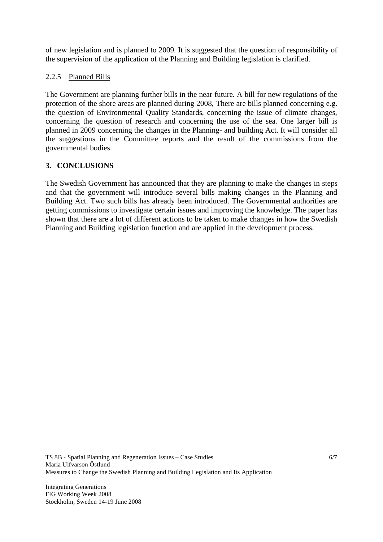of new legislation and is planned to 2009. It is suggested that the question of responsibility of the supervision of the application of the Planning and Building legislation is clarified.

# 2.2.5 Planned Bills

The Government are planning further bills in the near future. A bill for new regulations of the protection of the shore areas are planned during 2008, There are bills planned concerning e.g. the question of Environmental Quality Standards, concerning the issue of climate changes, concerning the question of research and concerning the use of the sea. One larger bill is planned in 2009 concerning the changes in the Planning- and building Act. It will consider all the suggestions in the Committee reports and the result of the commissions from the governmental bodies.

# **3. CONCLUSIONS**

The Swedish Government has announced that they are planning to make the changes in steps and that the government will introduce several bills making changes in the Planning and Building Act. Two such bills has already been introduced. The Governmental authorities are getting commissions to investigate certain issues and improving the knowledge. The paper has shown that there are a lot of different actions to be taken to make changes in how the Swedish Planning and Building legislation function and are applied in the development process.

TS 8B - Spatial Planning and Regeneration Issues – Case Studies Maria Ulfvarson Östlund Measures to Change the Swedish Planning and Building Legislation and Its Application